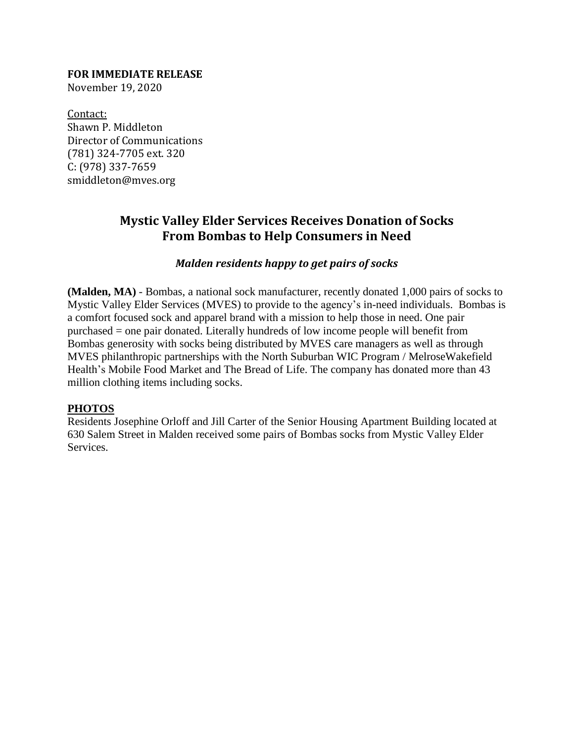### **FOR IMMEDIATE RELEASE**

November 19, 2020

Contact: Shawn P. Middleton Director of Communications (781) 324-7705 ext. 320 C: (978) 337-7659 smiddleton@mves.org

# **Mystic Valley Elder Services Receives Donation of Socks From Bombas to Help Consumers in Need**

#### *Malden residents happy to get pairs of socks*

**(Malden, MA)** - Bombas, a national sock manufacturer, recently donated 1,000 pairs of socks to Mystic Valley Elder Services (MVES) to provide to the agency's in-need individuals. Bombas is a comfort focused sock and apparel brand with a mission to help those in need. One pair purchased = one pair donated. Literally hundreds of low income people will benefit from Bombas generosity with socks being distributed by MVES care managers as well as through MVES philanthropic partnerships with the North Suburban WIC Program / MelroseWakefield Health's Mobile Food Market and The Bread of Life. The company has donated more than 43 million clothing items including socks.

#### **PHOTOS**

Residents Josephine Orloff and Jill Carter of the Senior Housing Apartment Building located at 630 Salem Street in Malden received some pairs of Bombas socks from Mystic Valley Elder Services.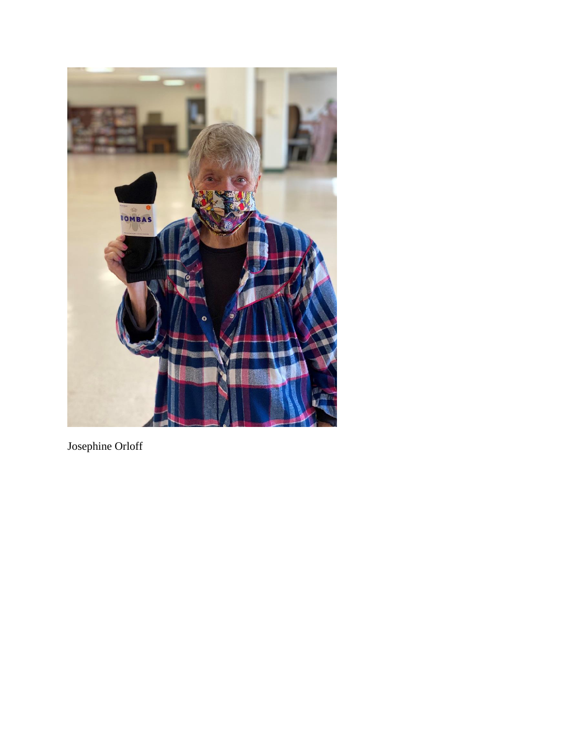

Josephine Orloff